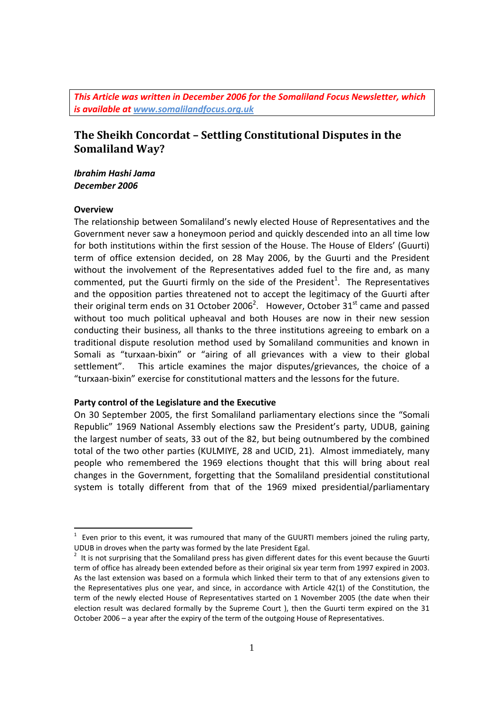*This Article was written in December 2006 for the Somaliland Focus Newsletter, which is available at www.somalilandfocus.org.uk* 

# **The Sheikh Concordat – Settling Constitutional Disputes in the Somaliland Way?**

## *Ibrahim Hashi Jama December 2006*

### **Overview**

l

The relationship between Somaliland's newly elected House of Representatives and the Government never saw a honeymoon period and quickly descended into an all time low for both institutions within the first session of the House. The House of Elders' (Guurti) term of office extension decided, on 28 May 2006, by the Guurti and the President without the involvement of the Representatives added fuel to the fire and, as many commented, put the Guurti firmly on the side of the President<sup>1</sup>. The Representatives and the opposition parties threatened not to accept the legitimacy of the Guurti after their original term ends on 31 October 2006<sup>2</sup>. However, October 31<sup>st</sup> came and passed without too much political upheaval and both Houses are now in their new session conducting their business, all thanks to the three institutions agreeing to embark on a traditional dispute resolution method used by Somaliland communities and known in Somali as "turxaan‐bixin" or "airing of all grievances with a view to their global settlement". This article examines the major disputes/grievances, the choice of a "turxaan‐bixin" exercise for constitutional matters and the lessons for the future.

### **Party control of the Legislature and the Executive**

On 30 September 2005, the first Somaliland parliamentary elections since the "Somali Republic" 1969 National Assembly elections saw the President's party, UDUB, gaining the largest number of seats, 33 out of the 82, but being outnumbered by the combined total of the two other parties (KULMIYE, 28 and UCID, 21). Almost immediately, many people who remembered the 1969 elections thought that this will bring about real changes in the Government, forgetting that the Somaliland presidential constitutional system is totally different from that of the 1969 mixed presidential/parliamentary

 $1$  Even prior to this event, it was rumoured that many of the GUURTI members joined the ruling party, UDUB in droves when the party was formed by the late President Egal. <sup>2</sup>

 $1$  It is not surprising that the Somaliland press has given different dates for this event because the Guurti term of office has already been extended before as their original six year term from 1997 expired in 2003. As the last extension was based on a formula which linked their term to that of any extensions given to the Representatives plus one year, and since, in accordance with Article 42(1) of the Constitution, the term of the newly elected House of Representatives started on 1 November 2005 (the date when their election result was declared formally by the Supreme Court ), then the Guurti term expired on the 31 October 2006 – a year after the expiry of the term of the outgoing House of Representatives.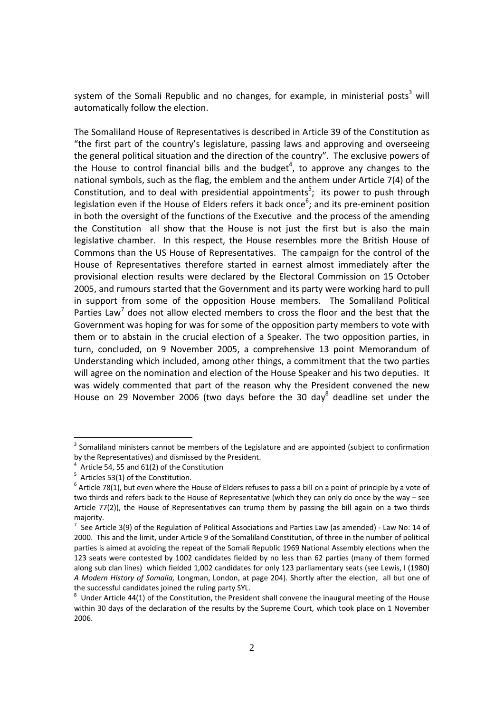system of the Somali Republic and no changes, for example, in ministerial posts<sup>3</sup> will automatically follow the election.

The Somaliland House of Representatives is described in Article 39 of the Constitution as "the first part of the country's legislature, passing laws and approving and overseeing the general political situation and the direction of the country". The exclusive powers of the House to control financial bills and the budget<sup>4</sup>, to approve any changes to the national symbols, such as the flag, the emblem and the anthem under Article 7(4) of the Constitution, and to deal with presidential appointments<sup>5</sup>; its power to push through legislation even if the House of Elders refers it back once<sup>6</sup>; and its pre-eminent position in both the oversight of the functions of the Executive and the process of the amending the Constitution all show that the House is not just the first but is also the main legislative chamber. In this respect, the House resembles more the British House of Commons than the US House of Representatives. The campaign for the control of the House of Representatives therefore started in earnest almost immediately after the provisional election results were declared by the Electoral Commission on 15 October 2005, and rumours started that the Government and its party were working hard to pull in support from some of the opposition House members. The Somaliland Political Parties Law<sup>7</sup> does not allow elected members to cross the floor and the best that the Government was hoping for was for some of the opposition party members to vote with them or to abstain in the crucial election of a Speaker. The two opposition parties, in turn, concluded, on 9 November 2005, a comprehensive 13 point Memorandum of Understanding which included, among other things, a commitment that the two parties will agree on the nomination and election of the House Speaker and his two deputies. It was widely commented that part of the reason why the President convened the new House on 29 November 2006 (two days before the 30 day<sup>8</sup> deadline set under the

<sup>&</sup>lt;sup>3</sup> Somaliland ministers cannot be members of the Legislature and are appointed (subject to confirmation by the Representatives) and dismissed by the President. <sup>4</sup>

 $^4$  Article 54, 55 and 61(2) of the Constitution  $^5$  Articles 53(1) of the Constitution.

 $6$  Article 78(1), but even where the House of Elders refuses to pass a bill on a point of principle by a vote of two thirds and refers back to the House of Representative (which they can only do once by the way – see Article 77(2)), the House of Representatives can trump them by passing the bill again on a two thirds majority.

 $\frac{7}{7}$  See Article 3(9) of the Regulation of Political Associations and Parties Law (as amended) - Law No: 14 of 2000. This and the limit, under Article 9 of the Somaliland Constitution, of three in the number of political parties is aimed at avoiding the repeat of the Somali Republic 1969 National Assembly elections when the 123 seats were contested by 1002 candidates fielded by no less than 62 parties (many of them formed along sub clan lines) which fielded 1,002 candidates for only 123 parliamentary seats (see Lewis, I (1980) *A Modern History of Somalia,* Longman, London, at page 204). Shortly after the election, all but one of the successful candidates joined the ruling party SYL.

 $8$  Under Article 44(1) of the Constitution, the President shall convene the inaugural meeting of the House within 30 days of the declaration of the results by the Supreme Court, which took place on 1 November 2006.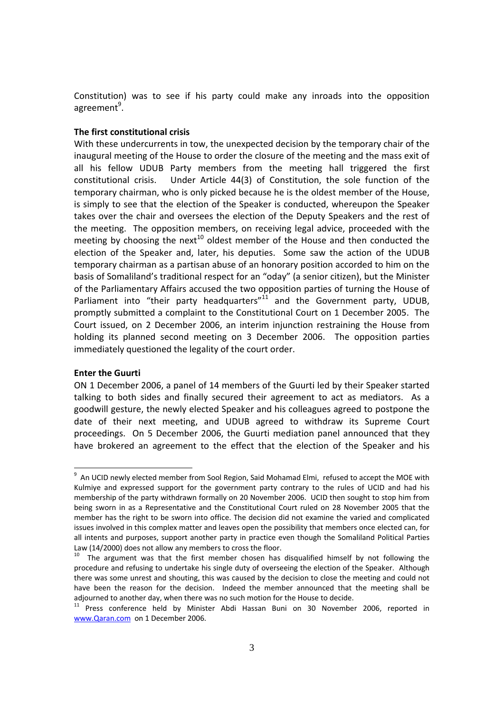Constitution) was to see if his party could make any inroads into the opposition agreement<sup>9</sup>.

#### **The first constitutional crisis**

With these undercurrents in tow, the unexpected decision by the temporary chair of the inaugural meeting of the House to order the closure of the meeting and the mass exit of all his fellow UDUB Party members from the meeting hall triggered the first constitutional crisis. Under Article 44(3) of Constitution, the sole function of the temporary chairman, who is only picked because he is the oldest member of the House, is simply to see that the election of the Speaker is conducted, whereupon the Speaker takes over the chair and oversees the election of the Deputy Speakers and the rest of the meeting. The opposition members, on receiving legal advice, proceeded with the meeting by choosing the next<sup>10</sup> oldest member of the House and then conducted the election of the Speaker and, later, his deputies. Some saw the action of the UDUB temporary chairman as a partisan abuse of an honorary position accorded to him on the basis of Somaliland's traditional respect for an "oday" (a senior citizen), but the Minister of the Parliamentary Affairs accused the two opposition parties of turning the House of Parliament into "their party headquarters" $11$  and the Government party, UDUB, promptly submitted a complaint to the Constitutional Court on 1 December 2005. The Court issued, on 2 December 2006, an interim injunction restraining the House from holding its planned second meeting on 3 December 2006. The opposition parties immediately questioned the legality of the court order.

#### **Enter the Guurti**

ON 1 December 2006, a panel of 14 members of the Guurti led by their Speaker started talking to both sides and finally secured their agreement to act as mediators. As a goodwill gesture, the newly elected Speaker and his colleagues agreed to postpone the date of their next meeting, and UDUB agreed to withdraw its Supreme Court proceedings. On 5 December 2006, the Guurti mediation panel announced that they have brokered an agreement to the effect that the election of the Speaker and his

<sup>&</sup>lt;sup>9</sup> An UCID newly elected member from Sool Region, Said Mohamad Elmi, refused to accept the MOE with Kulmiye and expressed support for the government party contrary to the rules of UCID and had his membership of the party withdrawn formally on 20 November 2006. UCID then sought to stop him from being sworn in as a Representative and the Constitutional Court ruled on 28 November 2005 that the member has the right to be sworn into office. The decision did not examine the varied and complicated issues involved in this complex matter and leaves open the possibility that members once elected can, for all intents and purposes, support another party in practice even though the Somaliland Political Parties Law (14/2000) does not allow any members to cross the floor.<br><sup>10</sup> The argument was that the first member chosen has disqualified himself by not following the

procedure and refusing to undertake his single duty of overseeing the election of the Speaker. Although there was some unrest and shouting, this was caused by the decision to close the meeting and could not have been the reason for the decision. Indeed the member announced that the meeting shall be adjourned to another day, when there was no such motion for the House to decide.<br><sup>11</sup> Press conference held by Minister Abdi Hassan Buni on 30 November 2006, reported in

www.Qaran.com on 1 December 2006.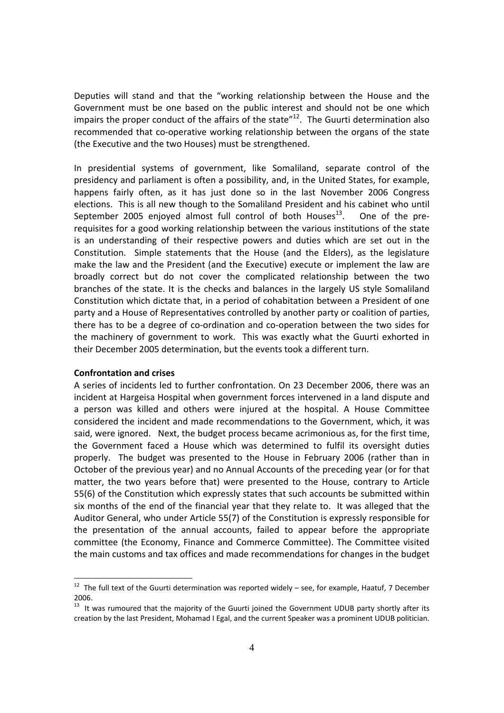Deputies will stand and that the "working relationship between the House and the Government must be one based on the public interest and should not be one which impairs the proper conduct of the affairs of the state"<sup>12</sup>. The Guurti determination also recommended that co-operative working relationship between the organs of the state (the Executive and the two Houses) must be strengthened.

In presidential systems of government, like Somaliland, separate control of the presidency and parliament is often a possibility, and, in the United States, for example, happens fairly often, as it has just done so in the last November 2006 Congress elections. This is all new though to the Somaliland President and his cabinet who until September 2005 enjoyed almost full control of both Houses<sup>13</sup>. One of the prerequisites for a good working relationship between the various institutions of the state is an understanding of their respective powers and duties which are set out in the Constitution. Simple statements that the House (and the Elders), as the legislature make the law and the President (and the Executive) execute or implement the law are broadly correct but do not cover the complicated relationship between the two branches of the state. It is the checks and balances in the largely US style Somaliland Constitution which dictate that, in a period of cohabitation between a President of one party and a House of Representatives controlled by another party or coalition of parties, there has to be a degree of co‐ordination and co‐operation between the two sides for the machinery of government to work. This was exactly what the Guurti exhorted in their December 2005 determination, but the events took a different turn.

#### **Confrontation and crises**

A series of incidents led to further confrontation. On 23 December 2006, there was an incident at Hargeisa Hospital when government forces intervened in a land dispute and a person was killed and others were injured at the hospital. A House Committee considered the incident and made recommendations to the Government, which, it was said, were ignored. Next, the budget process became acrimonious as, for the first time, the Government faced a House which was determined to fulfil its oversight duties properly. The budget was presented to the House in February 2006 (rather than in October of the previous year) and no Annual Accounts of the preceding year (or for that matter, the two years before that) were presented to the House, contrary to Article 55(6) of the Constitution which expressly states that such accounts be submitted within six months of the end of the financial year that they relate to. It was alleged that the Auditor General, who under Article 55(7) of the Constitution is expressly responsible for the presentation of the annual accounts, failed to appear before the appropriate committee (the Economy, Finance and Commerce Committee). The Committee visited the main customs and tax offices and made recommendations for changes in the budget

 $12$  The full text of the Guurti determination was reported widely – see, for example, Haatuf, 7 December 2006.

<sup>&</sup>lt;sup>13</sup> It was rumoured that the majority of the Guurti joined the Government UDUB party shortly after its creation by the last President, Mohamad I Egal, and the current Speaker was a prominent UDUB politician.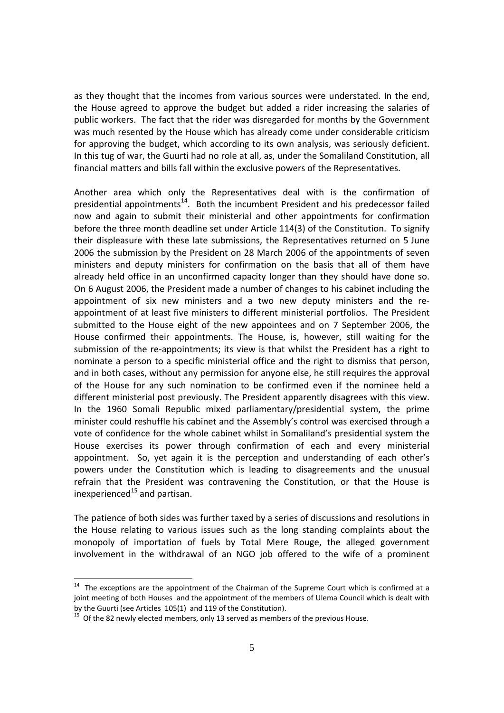as they thought that the incomes from various sources were understated. In the end, the House agreed to approve the budget but added a rider increasing the salaries of public workers. The fact that the rider was disregarded for months by the Government was much resented by the House which has already come under considerable criticism for approving the budget, which according to its own analysis, was seriously deficient. In this tug of war, the Guurti had no role at all, as, under the Somaliland Constitution, all financial matters and bills fall within the exclusive powers of the Representatives.

Another area which only the Representatives deal with is the confirmation of presidential appointments<sup>14</sup>. Both the incumbent President and his predecessor failed now and again to submit their ministerial and other appointments for confirmation before the three month deadline set under Article 114(3) of the Constitution. To signify their displeasure with these late submissions, the Representatives returned on 5 June 2006 the submission by the President on 28 March 2006 of the appointments of seven ministers and deputy ministers for confirmation on the basis that all of them have already held office in an unconfirmed capacity longer than they should have done so. On 6 August 2006, the President made a number of changes to his cabinet including the appointment of six new ministers and a two new deputy ministers and the reappointment of at least five ministers to different ministerial portfolios. The President submitted to the House eight of the new appointees and on 7 September 2006, the House confirmed their appointments. The House, is, however, still waiting for the submission of the re-appointments; its view is that whilst the President has a right to nominate a person to a specific ministerial office and the right to dismiss that person, and in both cases, without any permission for anyone else, he still requires the approval of the House for any such nomination to be confirmed even if the nominee held a different ministerial post previously. The President apparently disagrees with this view. In the 1960 Somali Republic mixed parliamentary/presidential system, the prime minister could reshuffle his cabinet and the Assembly's control was exercised through a vote of confidence for the whole cabinet whilst in Somaliland's presidential system the House exercises its power through confirmation of each and every ministerial appointment. So, yet again it is the perception and understanding of each other's powers under the Constitution which is leading to disagreements and the unusual refrain that the President was contravening the Constitution, or that the House is inexperienced $^{15}$  and partisan.

The patience of both sides was further taxed by a series of discussions and resolutions in the House relating to various issues such as the long standing complaints about the monopoly of importation of fuels by Total Mere Rouge, the alleged government involvement in the withdrawal of an NGO job offered to the wife of a prominent

 $14$  The exceptions are the appointment of the Chairman of the Supreme Court which is confirmed at a joint meeting of both Houses and the appointment of the members of Ulema Council which is dealt with by the Guurti (see Articles  $105(1)$  and  $119$  of the Constitution).<br><sup>15</sup> Of the 82 newly elected members, only 13 served as members of the previous House.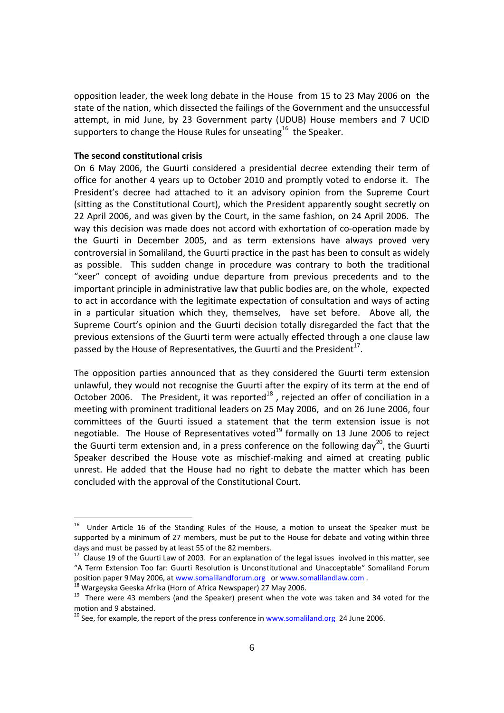opposition leader, the week long debate in the House from 15 to 23 May 2006 on the state of the nation, which dissected the failings of the Government and the unsuccessful attempt, in mid June, by 23 Government party (UDUB) House members and 7 UCID supporters to change the House Rules for unseating<sup>16</sup> the Speaker.

#### **The second constitutional crisis**

On 6 May 2006, the Guurti considered a presidential decree extending their term of office for another 4 years up to October 2010 and promptly voted to endorse it. The President's decree had attached to it an advisory opinion from the Supreme Court (sitting as the Constitutional Court), which the President apparently sought secretly on 22 April 2006, and was given by the Court, in the same fashion, on 24 April 2006. The way this decision was made does not accord with exhortation of co-operation made by the Guurti in December 2005, and as term extensions have always proved very controversial in Somaliland, the Guurti practice in the past has been to consult as widely as possible. This sudden change in procedure was contrary to both the traditional "xeer" concept of avoiding undue departure from previous precedents and to the important principle in administrative law that public bodies are, on the whole, expected to act in accordance with the legitimate expectation of consultation and ways of acting in a particular situation which they, themselves, have set before. Above all, the Supreme Court's opinion and the Guurti decision totally disregarded the fact that the previous extensions of the Guurti term were actually effected through a one clause law passed by the House of Representatives, the Guurti and the President<sup>17</sup>.

The opposition parties announced that as they considered the Guurti term extension unlawful, they would not recognise the Guurti after the expiry of its term at the end of October 2006. The President, it was reported $^{18}$ , rejected an offer of conciliation in a meeting with prominent traditional leaders on 25 May 2006, and on 26 June 2006, four committees of the Guurti issued a statement that the term extension issue is not negotiable. The House of Representatives voted<sup>19</sup> formally on 13 June 2006 to reject the Guurti term extension and, in a press conference on the following day<sup>20</sup>, the Guurti Speaker described the House vote as mischief-making and aimed at creating public unrest. He added that the House had no right to debate the matter which has been concluded with the approval of the Constitutional Court.

<sup>16</sup> Under Article 16 of the Standing Rules of the House, a motion to unseat the Speaker must be supported by a minimum of 27 members, must be put to the House for debate and voting within three days and must be passed by at least 55 of the 82 members.<br><sup>17</sup> Clause 19 of the Guurti Law of 2003. For an explanation of the legal issues involved in this matter, see

<sup>&</sup>quot;A Term Extension Too far: Guurti Resolution is Unconstitutional and Unacceptable" Somaliland Forum position paper 9 May 2006, at www.somalilandforum.org or www.somalilandlaw.com.<br><sup>18</sup> Wargeyska Geeska Afrika (Horn of Africa Newspaper) 27 May 2006.<br><sup>19</sup> There were 43 members (and the Speaker) present when the vote was ta

motion and 9 abstained.<br>
<sup>20</sup> See, for example, the report of the press conference in www.somaliland.org 24 June 2006.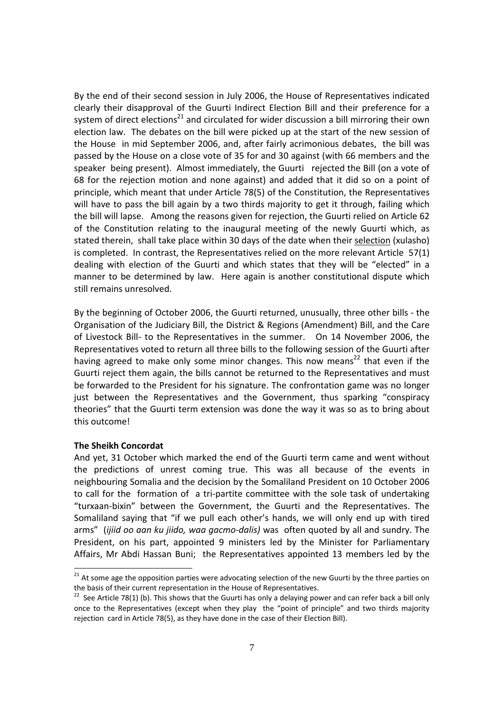By the end of their second session in July 2006, the House of Representatives indicated clearly their disapproval of the Guurti Indirect Election Bill and their preference for a system of direct elections<sup>21</sup> and circulated for wider discussion a bill mirroring their own election law. The debates on the bill were picked up at the start of the new session of the House in mid September 2006, and, after fairly acrimonious debates, the bill was passed by the House on a close vote of 35 for and 30 against (with 66 members and the speaker being present). Almost immediately, the Guurti rejected the Bill (on a vote of 68 for the rejection motion and none against) and added that it did so on a point of principle, which meant that under Article 78(5) of the Constitution, the Representatives will have to pass the bill again by a two thirds majority to get it through, failing which the bill will lapse. Among the reasons given for rejection, the Guurti relied on Article 62 of the Constitution relating to the inaugural meeting of the newly Guurti which, as stated therein, shall take place within 30 days of the date when their selection (xulasho) is completed. In contrast, the Representatives relied on the more relevant Article 57(1) dealing with election of the Guurti and which states that they will be "elected" in a manner to be determined by law. Here again is another constitutional dispute which still remains unresolved.

By the beginning of October 2006, the Guurti returned, unusually, three other bills ‐ the Organisation of the Judiciary Bill, the District & Regions (Amendment) Bill, and the Care of Livestock Bill‐ to the Representatives in the summer. On 14 November 2006, the Representatives voted to return all three bills to the following session of the Guurti after having agreed to make only some minor changes. This now means<sup>22</sup> that even if the Guurti reject them again, the bills cannot be returned to the Representatives and must be forwarded to the President for his signature. The confrontation game was no longer just between the Representatives and the Government, thus sparking "conspiracy theories" that the Guurti term extension was done the way it was so as to bring about this outcome!

## **The Sheikh Concordat**

And yet, 31 October which marked the end of the Guurti term came and went without the predictions of unrest coming true. This was all because of the events in neighbouring Somalia and the decision by the Somaliland President on 10 October 2006 to call for the formation of a tri-partite committee with the sole task of undertaking "turxaan‐bixin" between the Government, the Guurti and the Representatives. The Somaliland saying that "if we pull each other's hands, we will only end up with tired arms" (*ijiid oo aan ku jiido, waa gacmo‐dalis)* was often quoted by all and sundry. The President, on his part, appointed 9 ministers led by the Minister for Parliamentary Affairs, Mr Abdi Hassan Buni; the Representatives appointed 13 members led by the

 $21$  At some age the opposition parties were advocating selection of the new Guurti by the three parties on the basis of their current representation in the House of Representatives.<br><sup>22</sup> See Article 78(1) (b). This shows that the Guurti has only a delaying power and can refer back a bill only

once to the Representatives (except when they play the "point of principle" and two thirds majority rejection card in Article 78(5), as they have done in the case of their Election Bill).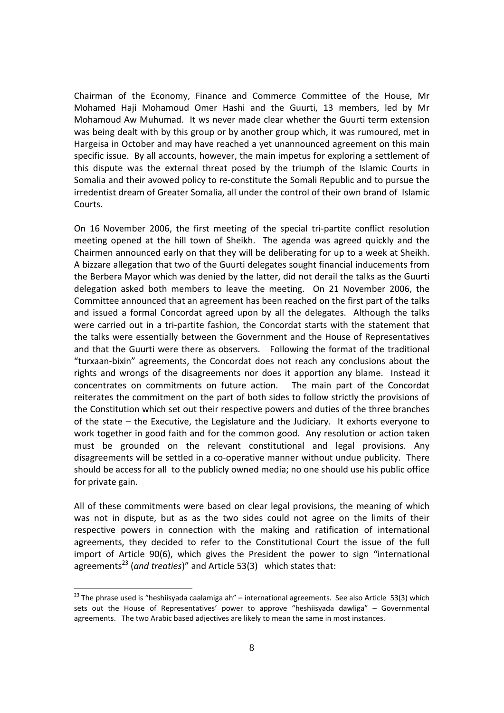Chairman of the Economy, Finance and Commerce Committee of the House, Mr Mohamed Haji Mohamoud Omer Hashi and the Guurti, 13 members, led by Mr Mohamoud Aw Muhumad. It ws never made clear whether the Guurti term extension was being dealt with by this group or by another group which, it was rumoured, met in Hargeisa in October and may have reached a yet unannounced agreement on this main specific issue. By all accounts, however, the main impetus for exploring a settlement of this dispute was the external threat posed by the triumph of the Islamic Courts in Somalia and their avowed policy to re‐constitute the Somali Republic and to pursue the irredentist dream of Greater Somalia, all under the control of their own brand of Islamic Courts.

On 16 November 2006, the first meeting of the special tri‐partite conflict resolution meeting opened at the hill town of Sheikh. The agenda was agreed quickly and the Chairmen announced early on that they will be deliberating for up to a week at Sheikh. A bizzare allegation that two of the Guurti delegates sought financial inducements from the Berbera Mayor which was denied by the latter, did not derail the talks as the Guurti delegation asked both members to leave the meeting. On 21 November 2006, the Committee announced that an agreement has been reached on the first part of the talks and issued a formal Concordat agreed upon by all the delegates. Although the talks were carried out in a tri-partite fashion, the Concordat starts with the statement that the talks were essentially between the Government and the House of Representatives and that the Guurti were there as observers. Following the format of the traditional "turxaan‐bixin" agreements, the Concordat does not reach any conclusions about the rights and wrongs of the disagreements nor does it apportion any blame. Instead it concentrates on commitments on future action. The main part of the Concordat reiterates the commitment on the part of both sides to follow strictly the provisions of the Constitution which set out their respective powers and duties of the three branches of the state – the Executive, the Legislature and the Judiciary. It exhorts everyone to work together in good faith and for the common good. Any resolution or action taken must be grounded on the relevant constitutional and legal provisions. Any disagreements will be settled in a co-operative manner without undue publicity. There should be access for all to the publicly owned media; no one should use his public office for private gain.

All of these commitments were based on clear legal provisions, the meaning of which was not in dispute, but as as the two sides could not agree on the limits of their respective powers in connection with the making and ratification of international agreements, they decided to refer to the Constitutional Court the issue of the full import of Article 90(6), which gives the President the power to sign "international agreements<sup>23</sup> (and *treaties*)" and Article 53(3) which states that:

l

 $23$  The phrase used is "heshiisyada caalamiga ah" – international agreements. See also Article 53(3) which sets out the House of Representatives' power to approve "heshiisyada dawliga" – Governmental agreements. The two Arabic based adjectives are likely to mean the same in most instances.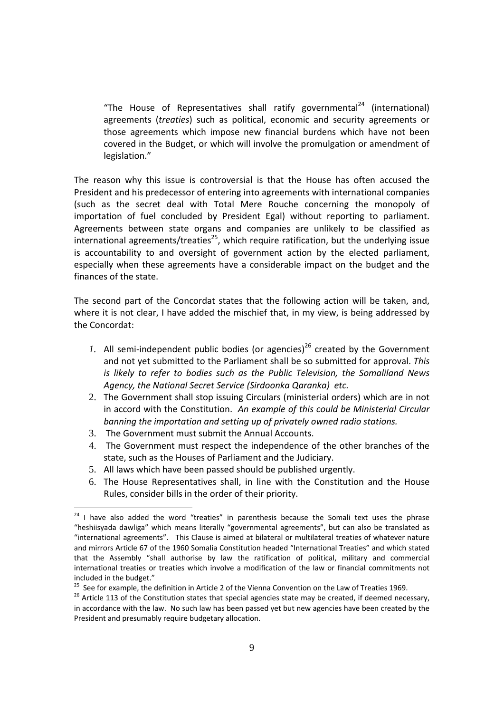"The House of Representatives shall ratify governmental<sup>24</sup> (international) agreements (*treaties*) such as political, economic and security agreements or those agreements which impose new financial burdens which have not been covered in the Budget, or which will involve the promulgation or amendment of legislation."

The reason why this issue is controversial is that the House has often accused the President and his predecessor of entering into agreements with international companies (such as the secret deal with Total Mere Rouche concerning the monopoly of importation of fuel concluded by President Egal) without reporting to parliament. Agreements between state organs and companies are unlikely to be classified as international agreements/treaties<sup>25</sup>, which require ratification, but the underlying issue is accountability to and oversight of government action by the elected parliament, especially when these agreements have a considerable impact on the budget and the finances of the state.

The second part of the Concordat states that the following action will be taken, and, where it is not clear, I have added the mischief that, in my view, is being addressed by the Concordat:

- *1.* All semi-independent public bodies (or agencies)<sup>26</sup> created by the Government and not yet submitted to the Parliament shall be so submitted for approval. *This is likely to refer to bodies such as the Public Television, the Somaliland News Agency, the National Secret Service (Sirdoonka Qaranka) etc.*
- 2. The Government shall stop issuing Circulars (ministerial orders) which are in not in accord with the Constitution. *An example of this could be Ministerial Circular banning the importation and setting up of privately owned radio stations.*
- 3. The Government must submit the Annual Accounts.

- 4. The Government must respect the independence of the other branches of the state, such as the Houses of Parliament and the Judiciary.
- 5. All laws which have been passed should be published urgently.
- 6. The House Representatives shall, in line with the Constitution and the House Rules, consider bills in the order of their priority.

 $24$  I have also added the word "treaties" in parenthesis because the Somali text uses the phrase "heshiisyada dawliga" which means literally "governmental agreements", but can also be translated as "international agreements". This Clause is aimed at bilateral or multilateral treaties of whatever nature and mirrors Article 67 of the 1960 Somalia Constitution headed "International Treaties" and which stated that the Assembly "shall authorise by law the ratification of political, military and commercial international treaties or treaties which involve a modification of the law or financial commitments not

included in the budget."<br><sup>25</sup> See for example, the definition in Article 2 of the Vienna Convention on the Law of Treaties 1969.<br><sup>26</sup> Article 113 of the Constitution states that special agencies state may be created, if d in accordance with the law. No such law has been passed yet but new agencies have been created by the President and presumably require budgetary allocation.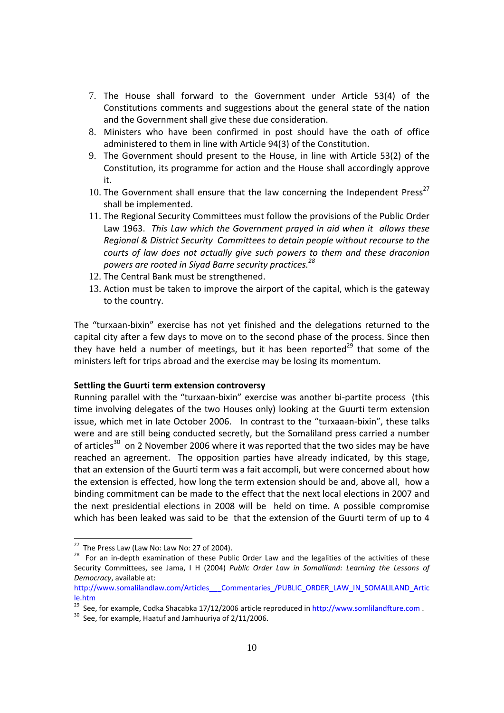- 7. The House shall forward to the Government under Article 53(4) of the Constitutions comments and suggestions about the general state of the nation and the Government shall give these due consideration.
- 8. Ministers who have been confirmed in post should have the oath of office administered to them in line with Article 94(3) of the Constitution.
- 9. The Government should present to the House, in line with Article 53(2) of the Constitution, its programme for action and the House shall accordingly approve it.
- 10. The Government shall ensure that the law concerning the Independent Press $^{27}$ shall be implemented.
- 11. The Regional Security Committees must follow the provisions of the Public Order Law 1963. *This Law which the Government prayed in aid when it allows these Regional & District Security Committees to detain people without recourse to the courts of law does not actually give such powers to them and these draconian powers are rooted in Siyad Barre security practices.28*
- 12. The Central Bank must be strengthened.
- 13. Action must be taken to improve the airport of the capital, which is the gateway to the country.

The "turxaan‐bixin" exercise has not yet finished and the delegations returned to the capital city after a few days to move on to the second phase of the process. Since then they have held a number of meetings, but it has been reported<sup>29</sup> that some of the ministers left for trips abroad and the exercise may be losing its momentum.

#### **Settling the Guurti term extension controversy**

Running parallel with the "turxaan‐bixin" exercise was another bi‐partite process (this time involving delegates of the two Houses only) looking at the Guurti term extension issue, which met in late October 2006. In contrast to the "turxaaan‐bixin", these talks were and are still being conducted secretly, but the Somaliland press carried a number of articles $^{30}$  on 2 November 2006 where it was reported that the two sides may be have reached an agreement. The opposition parties have already indicated, by this stage, that an extension of the Guurti term was a fait accompli, but were concerned about how the extension is effected, how long the term extension should be and, above all, how a binding commitment can be made to the effect that the next local elections in 2007 and the next presidential elections in 2008 will be held on time. A possible compromise which has been leaked was said to be that the extension of the Guurti term of up to 4

<sup>&</sup>lt;sup>27</sup> The Press Law (Law No: Law No: 27 of 2004).<br><sup>28</sup> For an in-depth examination of these Public Order Law and the legalities of the activities of these Security Committees, see Jama, I H (2004) *Public Order Law in Somaliland: Learning the Lessons of Democracy*, available at:

http://www.somalilandlaw.com/Articles Commentaries /PUBLIC\_ORDER\_LAW\_IN\_SOMALILAND\_Artic le.htm

<sup>&</sup>lt;sup>29</sup> See, for example, Codka Shacabka 17/12/2006 article reproduced in  $\frac{http://www.somlilandfture.com}{http://www.somlilandfture.com}$ .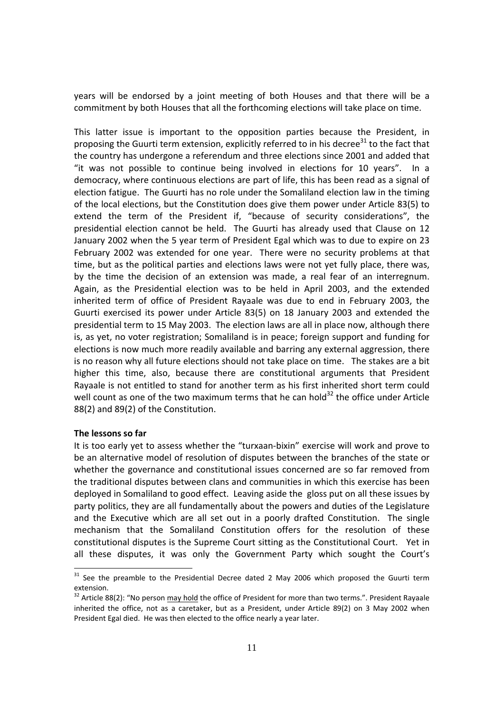years will be endorsed by a joint meeting of both Houses and that there will be a commitment by both Houses that all the forthcoming elections will take place on time.

This latter issue is important to the opposition parties because the President, in proposing the Guurti term extension, explicitly referred to in his decree<sup>31</sup> to the fact that the country has undergone a referendum and three elections since 2001 and added that "it was not possible to continue being involved in elections for 10 years". In a democracy, where continuous elections are part of life, this has been read as a signal of election fatigue. The Guurti has no role under the Somaliland election law in the timing of the local elections, but the Constitution does give them power under Article 83(5) to extend the term of the President if, "because of security considerations", the presidential election cannot be held. The Guurti has already used that Clause on 12 January 2002 when the 5 year term of President Egal which was to due to expire on 23 February 2002 was extended for one year. There were no security problems at that time, but as the political parties and elections laws were not yet fully place, there was, by the time the decision of an extension was made, a real fear of an interregnum. Again, as the Presidential election was to be held in April 2003, and the extended inherited term of office of President Rayaale was due to end in February 2003, the Guurti exercised its power under Article 83(5) on 18 January 2003 and extended the presidential term to 15 May 2003. The election laws are all in place now, although there is, as yet, no voter registration; Somaliland is in peace; foreign support and funding for elections is now much more readily available and barring any external aggression, there is no reason why all future elections should not take place on time. The stakes are a bit higher this time, also, because there are constitutional arguments that President Rayaale is not entitled to stand for another term as his first inherited short term could well count as one of the two maximum terms that he can hold $32$  the office under Article 88(2) and 89(2) of the Constitution.

#### **The lessons so far**

It is too early yet to assess whether the "turxaan‐bixin" exercise will work and prove to be an alternative model of resolution of disputes between the branches of the state or whether the governance and constitutional issues concerned are so far removed from the traditional disputes between clans and communities in which this exercise has been deployed in Somaliland to good effect. Leaving aside the gloss put on all these issues by party politics, they are all fundamentally about the powers and duties of the Legislature and the Executive which are all set out in a poorly drafted Constitution. The single mechanism that the Somaliland Constitution offers for the resolution of these constitutional disputes is the Supreme Court sitting as the Constitutional Court. Yet in all these disputes, it was only the Government Party which sought the Court's

 $31$  See the preamble to the Presidential Decree dated 2 May 2006 which proposed the Guurti term extension.

<sup>&</sup>lt;sup>32</sup> Article 88(2): "No person may hold the office of President for more than two terms.". President Rayaale inherited the office, not as a caretaker, but as a President, under Article 89(2) on 3 May 2002 when President Egal died. He was then elected to the office nearly a year later.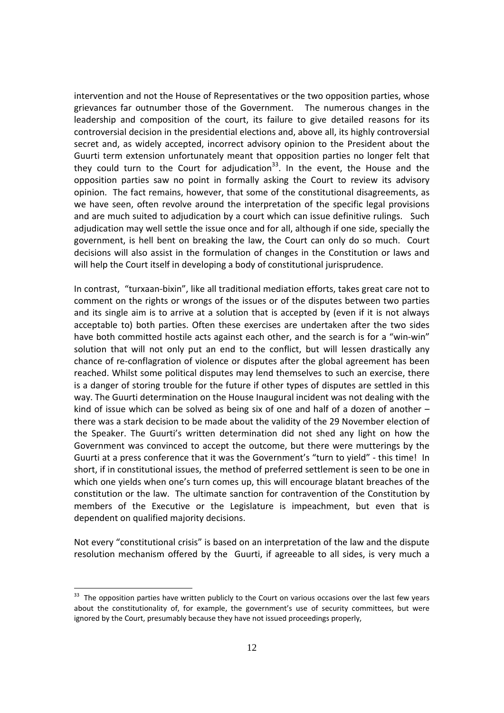intervention and not the House of Representatives or the two opposition parties, whose grievances far outnumber those of the Government. The numerous changes in the leadership and composition of the court, its failure to give detailed reasons for its controversial decision in the presidential elections and, above all, its highly controversial secret and, as widely accepted, incorrect advisory opinion to the President about the Guurti term extension unfortunately meant that opposition parties no longer felt that they could turn to the Court for adjudication<sup>33</sup>. In the event, the House and the opposition parties saw no point in formally asking the Court to review its advisory opinion. The fact remains, however, that some of the constitutional disagreements, as we have seen, often revolve around the interpretation of the specific legal provisions and are much suited to adjudication by a court which can issue definitive rulings. Such adjudication may well settle the issue once and for all, although if one side, specially the government, is hell bent on breaking the law, the Court can only do so much. Court decisions will also assist in the formulation of changes in the Constitution or laws and will help the Court itself in developing a body of constitutional jurisprudence.

In contrast, "turxaan‐bixin", like all traditional mediation efforts, takes great care not to comment on the rights or wrongs of the issues or of the disputes between two parties and its single aim is to arrive at a solution that is accepted by (even if it is not always acceptable to) both parties. Often these exercises are undertaken after the two sides have both committed hostile acts against each other, and the search is for a "win-win" solution that will not only put an end to the conflict, but will lessen drastically any chance of re‐conflagration of violence or disputes after the global agreement has been reached. Whilst some political disputes may lend themselves to such an exercise, there is a danger of storing trouble for the future if other types of disputes are settled in this way. The Guurti determination on the House Inaugural incident was not dealing with the kind of issue which can be solved as being six of one and half of a dozen of another – there was a stark decision to be made about the validity of the 29 November election of the Speaker. The Guurti's written determination did not shed any light on how the Government was convinced to accept the outcome, but there were mutterings by the Guurti at a press conference that it was the Government's "turn to yield" ‐ this time! In short, if in constitutional issues, the method of preferred settlement is seen to be one in which one yields when one's turn comes up, this will encourage blatant breaches of the constitution or the law. The ultimate sanction for contravention of the Constitution by members of the Executive or the Legislature is impeachment, but even that is dependent on qualified majority decisions.

Not every "constitutional crisis" is based on an interpretation of the law and the dispute resolution mechanism offered by the Guurti, if agreeable to all sides, is very much a

l

<sup>&</sup>lt;sup>33</sup> The opposition parties have written publicly to the Court on various occasions over the last few years about the constitutionality of, for example, the government's use of security committees, but were ignored by the Court, presumably because they have not issued proceedings properly,